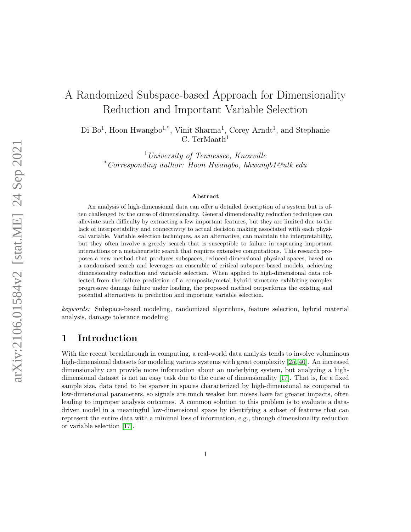# A Randomized Subspace-based Approach for Dimensionality Reduction and Important Variable Selection

Di Bo<sup>1</sup>, Hoon Hwangbo<sup>1,\*</sup>, Vinit Sharma<sup>1</sup>, Corey Arndt<sup>1</sup>, and Stephanie C. TerMaath $1$ 

 $1$ University of Tennessee, Knoxville \*Corresponding author: Hoon Hwangbo, hhwangb1@utk.edu

#### Abstract

An analysis of high-dimensional data can offer a detailed description of a system but is often challenged by the curse of dimensionality. General dimensionality reduction techniques can alleviate such difficulty by extracting a few important features, but they are limited due to the lack of interpretability and connectivity to actual decision making associated with each physical variable. Variable selection techniques, as an alternative, can maintain the interpretability, but they often involve a greedy search that is susceptible to failure in capturing important interactions or a metaheuristic search that requires extensive computations. This research proposes a new method that produces subspaces, reduced-dimensional physical spaces, based on a randomized search and leverages an ensemble of critical subspace-based models, achieving dimensionality reduction and variable selection. When applied to high-dimensional data collected from the failure prediction of a composite/metal hybrid structure exhibiting complex progressive damage failure under loading, the proposed method outperforms the existing and potential alternatives in prediction and important variable selection.

keywords: Subspace-based modeling, randomized algorithms, feature selection, hybrid material analysis, damage tolerance modeling

# 1 Introduction

With the recent breakthrough in computing, a real-world data analysis tends to involve voluminous high-dimensional datasets for modeling various systems with great complexity [\[25,](#page-20-0) [40\]](#page-21-0). An increased dimensionality can provide more information about an underlying system, but analyzing a highdimensional dataset is not an easy task due to the curse of dimensionality [\[17\]](#page-20-1). That is, for a fixed sample size, data tend to be sparser in spaces characterized by high-dimensional as compared to low-dimensional parameters, so signals are much weaker but noises have far greater impacts, often leading to improper analysis outcomes. A common solution to this problem is to evaluate a datadriven model in a meaningful low-dimensional space by identifying a subset of features that can represent the entire data with a minimal loss of information, e.g., through dimensionality reduction or variable selection [\[17\]](#page-20-1).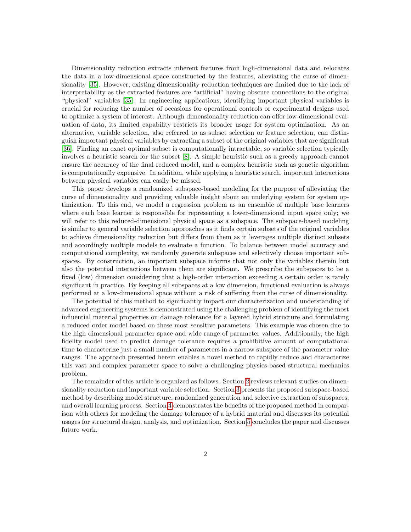Dimensionality reduction extracts inherent features from high-dimensional data and relocates the data in a low-dimensional space constructed by the features, alleviating the curse of dimensionality [\[35\]](#page-21-1). However, existing dimensionality reduction techniques are limited due to the lack of interpretability as the extracted features are "artificial" having obscure connections to the original "physical" variables [\[35\]](#page-21-1). In engineering applications, identifying important physical variables is crucial for reducing the number of occasions for operational controls or experimental designs used to optimize a system of interest. Although dimensionality reduction can offer low-dimensional evaluation of data, its limited capability restricts its broader usage for system optimization. As an alternative, variable selection, also referred to as subset selection or feature selection, can distinguish important physical variables by extracting a subset of the original variables that are significant [\[36\]](#page-21-2). Finding an exact optimal subset is computationally intractable, so variable selection typically involves a heuristic search for the subset [\[8\]](#page-19-0). A simple heuristic such as a greedy approach cannot ensure the accuracy of the final reduced model, and a complex heuristic such as genetic algorithm is computationally expensive. In addition, while applying a heuristic search, important interactions between physical variables can easily be missed.

This paper develops a randomized subspace-based modeling for the purpose of alleviating the curse of dimensionality and providing valuable insight about an underlying system for system optimization. To this end, we model a regression problem as an ensemble of multiple base learners where each base learner is responsible for representing a lower-dimensional input space only; we will refer to this reduced-dimensional physical space as a subspace. The subspace-based modeling is similar to general variable selection approaches as it finds certain subsets of the original variables to achieve dimensionality reduction but differs from them as it leverages multiple distinct subsets and accordingly multiple models to evaluate a function. To balance between model accuracy and computational complexity, we randomly generate subspaces and selectively choose important subspaces. By construction, an important subspace informs that not only the variables therein but also the potential interactions between them are significant. We prescribe the subspaces to be a fixed (low) dimension considering that a high-order interaction exceeding a certain order is rarely significant in practice. By keeping all subspaces at a low dimension, functional evaluation is always performed at a low-dimensional space without a risk of suffering from the curse of dimensionality.

The potential of this method to significantly impact our characterization and understanding of advanced engineering systems is demonstrated using the challenging problem of identifying the most influential material properties on damage tolerance for a layered hybrid structure and formulating a reduced order model based on these most sensitive parameters. This example was chosen due to the high dimensional parameter space and wide range of parameter values. Additionally, the high fidelity model used to predict damage tolerance requires a prohibitive amount of computational time to characterize just a small number of parameters in a narrow subspace of the parameter value ranges. The approach presented herein enables a novel method to rapidly reduce and characterize this vast and complex parameter space to solve a challenging physics-based structural mechanics problem.

The remainder of this article is organized as follows. Section [2](#page-2-0) reviews relevant studies on dimensionality reduction and important variable selection. Section [3](#page-4-0) presents the proposed subspace-based method by describing model structure, randomized generation and selective extraction of subspaces, and overall learning process. Section [4](#page-10-0) demonstrates the benefits of the proposed method in comparison with others for modeling the damage tolerance of a hybrid material and discusses its potential usages for structural design, analysis, and optimization. Section [5](#page-18-0) concludes the paper and discusses future work.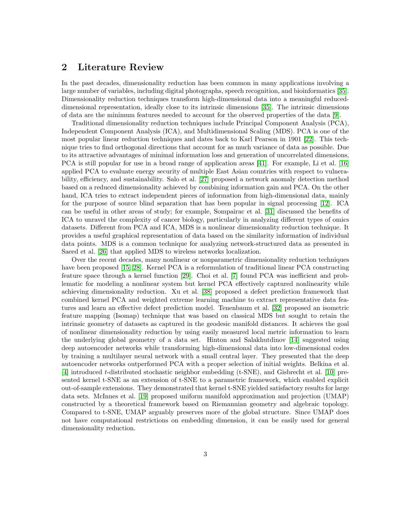# <span id="page-2-0"></span>2 Literature Review

In the past decades, dimensionality reduction has been common in many applications involving a large number of variables, including digital photographs, speech recognition, and bioinformatics [\[35\]](#page-21-1). Dimensionality reduction techniques transform high-dimensional data into a meaningful reduceddimensional representation, ideally close to its intrinsic dimensions [\[35\]](#page-21-1). The intrinsic dimensions of data are the minimum features needed to account for the observed properties of the data [\[9\]](#page-19-1).

Traditional dimensionality reduction techniques include Principal Component Analysis (PCA), Independent Component Analysis (ICA), and Multidimensional Scaling (MDS). PCA is one of the most popular linear reduction techniques and dates back to Karl Pearson in 1901 [\[22\]](#page-20-2). This technique tries to find orthogonal directions that account for as much variance of data as possible. Due to its attractive advantages of minimal information loss and generation of uncorrelated dimensions, PCA is still popular for use in a broad range of application areas [\[41\]](#page-21-3). For example, Li et al. [\[16\]](#page-20-3) applied PCA to evaluate energy security of multiple East Asian countries with respect to vulnerability, efficiency, and sustainability. Salo et al. [\[27\]](#page-20-4) proposed a network anomaly detection method based on a reduced dimensionality achieved by combining information gain and PCA. On the other hand, ICA tries to extract independent pieces of information from high-dimensional data, mainly for the purpose of source blind separation that has been popular in signal processing [\[12\]](#page-19-2). ICA can be useful in other areas of study; for example, Sompairac et al. [\[31\]](#page-21-4) discussed the benefits of ICA to unravel the complexity of cancer biology, particularly in analyzing different types of omics datasets. Different from PCA and ICA, MDS is a nonlinear dimensionality reduction technique. It provides a useful graphical representation of data based on the similarity information of individual data points. MDS is a common technique for analyzing network-structured data as presented in Saeed et al. [\[26\]](#page-20-5) that applied MDS to wireless networks localization.

Over the recent decades, many nonlinear or nonparametric dimensionality reduction techniques have been proposed [\[15,](#page-19-3) [28\]](#page-20-6). Kernel PCA is a reformulation of traditional linear PCA constructing feature space through a kernel function [\[29\]](#page-20-7). Choi et al. [\[7\]](#page-19-4) found PCA was inefficient and problematic for modeling a nonlinear system but kernel PCA effectively captured nonlinearity while achieving dimensionality reduction. Xu et al. [\[38\]](#page-21-5) proposed a defect prediction framework that combined kernel PCA and weighted extreme learning machine to extract representative data features and learn an effective defect prediction model. Tenenbaum et al. [\[32\]](#page-21-6) proposed an isometric feature mapping (Isomap) technique that was based on classical MDS but sought to retain the intrinsic geometry of datasets as captured in the geodesic manifold distances. It achieves the goal of nonlinear dimensionality reduction by using easily measured local metric information to learn the underlying global geometry of a data set. Hinton and Salakhutdinov [\[14\]](#page-19-5) suggested using deep autoencoder networks while transforming high-dimensional data into low-dimensional codes by training a multilayer neural network with a small central layer. They presented that the deep autoencoder networks outperformed PCA with a proper selection of initial weights. Belkina et al. [\[4\]](#page-19-6) introduced t-distributed stochastic neighbor embedding (t-SNE), and Gisbrecht et al. [\[10\]](#page-19-7) presented kernel t-SNE as an extension of t-SNE to a parametric framework, which enabled explicit out-of-sample extensions. They demonstrated that kernel t-SNE yielded satisfactory results for large data sets. McInnes et al. [\[19\]](#page-20-8) proposed uniform manifold approximation and projection (UMAP) constructed by a theoretical framework based on Riemannian geometry and algebraic topology. Compared to t-SNE, UMAP arguably preserves more of the global structure. Since UMAP does not have computational restrictions on embedding dimension, it can be easily used for general dimensionality reduction.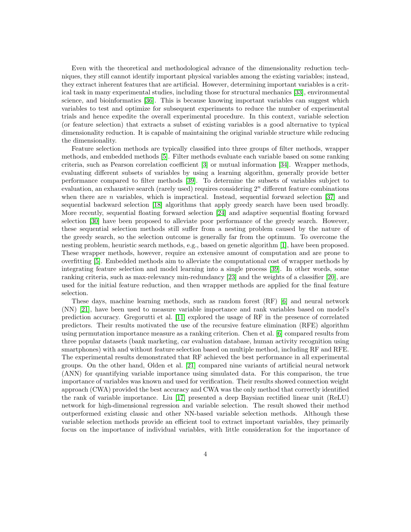Even with the theoretical and methodological advance of the dimensionality reduction techniques, they still cannot identify important physical variables among the existing variables; instead, they extract inherent features that are artificial. However, determining important variables is a critical task in many experimental studies, including those for structural mechanics [\[33\]](#page-21-7), environmental science, and bioinformatics [\[36\]](#page-21-2). This is because knowing important variables can suggest which variables to test and optimize for subsequent experiments to reduce the number of experimental trials and hence expedite the overall experimental procedure. In this context, variable selection (or feature selection) that extracts a subset of existing variables is a good alternative to typical dimensionality reduction. It is capable of maintaining the original variable structure while reducing the dimensionality.

Feature selection methods are typically classified into three groups of filter methods, wrapper methods, and embedded methods [\[5\]](#page-19-8). Filter methods evaluate each variable based on some ranking criteria, such as Pearson correlation coefficient [\[3\]](#page-19-9) or mutual information [\[34\]](#page-21-8). Wrapper methods, evaluating different subsets of variables by using a learning algorithm, generally provide better performance compared to filter methods [\[39\]](#page-21-9). To determine the subsets of variables subject to evaluation, an exhaustive search (rarely used) requires considering  $2<sup>n</sup>$  different feature combinations when there are n variables, which is impractical. Instead, sequential forward selection  $[37]$  and sequential backward selection [\[18\]](#page-20-9) algorithms that apply greedy search have been used broadly. More recently, sequential floating forward selection [\[24\]](#page-20-10) and adaptive sequential floating forward selection [\[30\]](#page-20-11) have been proposed to alleviate poor performance of the greedy search. However, these sequential selection methods still suffer from a nesting problem caused by the nature of the greedy search, so the selection outcome is generally far from the optimum. To overcome the nesting problem, heuristic search methods, e.g., based on genetic algorithm [\[1\]](#page-19-10), have been proposed. These wrapper methods, however, require an extensive amount of computation and are prone to overfitting [\[5\]](#page-19-8). Embedded methods aim to alleviate the computational cost of wrapper methods by integrating feature selection and model learning into a single process [\[39\]](#page-21-9). In other words, some ranking criteria, such as max-relevancy min-redundancy [\[23\]](#page-20-12) and the weights of a classifier [\[20\]](#page-20-13), are used for the initial feature reduction, and then wrapper methods are applied for the final feature selection.

These days, machine learning methods, such as random forest (RF) [\[6\]](#page-19-11) and neural network (NN) [\[21\]](#page-20-14), have been used to measure variable importance and rank variables based on model's prediction accuracy. Gregorutti et al. [\[11\]](#page-19-12) explored the usage of RF in the presence of correlated predictors. Their results motivated the use of the recursive feature elimination (RFE) algorithm using permutation importance measure as a ranking criterion. Chen et al. [\[6\]](#page-19-11) compared results from three popular datasets (bank marketing, car evaluation database, human activity recognition using smartphones) with and without feature selection based on multiple method, including RF and RFE. The experimental results demonstrated that RF achieved the best performance in all experimental groups. On the other hand, Olden et al. [\[21\]](#page-20-14) compared nine variants of artificial neural network (ANN) for quantifying variable importance using simulated data. For this comparison, the true importance of variables was known and used for verification. Their results showed connection weight approach (CWA) provided the best accuracy and CWA was the only method that correctly identified the rank of variable importance. Liu [\[17\]](#page-20-1) presented a deep Baysian rectified linear unit (ReLU) network for high-dimensional regression and variable selection. The result showed their method outperformed existing classic and other NN-based variable selection methods. Although these variable selection methods provide an efficient tool to extract important variables, they primarily focus on the importance of individual variables, with little consideration for the importance of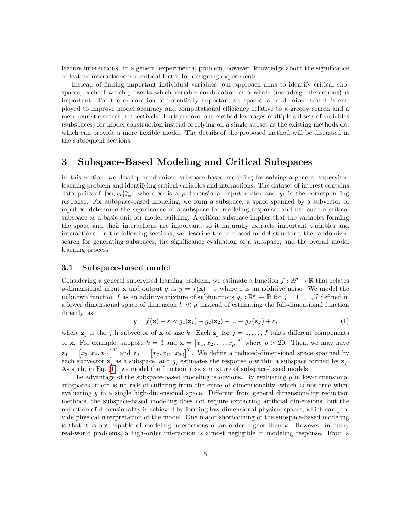feature interactions. In a general experimental problem, however, knowledge about the significance of feature interactions is a critical factor for designing experiments.

Instead of finding important individual variables, our approach aims to identify critical subspaces, each of which presents which variable combination as a whole (including interactions) is important. For the exploration of potentially important subspaces, a randomized search is employed to improve model accuracy and computational efficiency relative to a greedy search and a metaheuristic search, respectively. Furthermore, our method leverages multiple subsets of variables (subspaces) for model construction instead of relying on a single subset as the existing methods do, which can provide a more flexible model. The details of the proposed method will be discussed in the subsequent sections.

### <span id="page-4-0"></span>3 Subspace-Based Modeling and Critical Subspaces

In this section, we develop randomized subspace-based modeling for solving a general supervised learning problem and identifying critical variables and interactions. The dataset of interest contains data pairs of  $\{x_i, y_i\}_{i=1}^n$  where  $x_i$  is a *p*-dimensional input vector and  $y_i$  is the corresponding response. For subspace-based modeling, we form a subspace, a space spanned by a subvector of input x, determine the significance of a subspace for modeling response, and use such a critical subspace as a basic unit for model building. A critical subspace implies that the variables forming the space and their interactions are important, so it naturally extracts important variables and interactions. In the following sections, we describe the proposed model structure, the randomized search for generating subspaces, the significance evaluation of a subspace, and the overall model learning process.

### 3.1 Subspace-based model

Considering a general supervised learning problem, we estimate a function  $f : \mathbb{R}^p \to \mathbb{R}$  that relates p-dimensional input **x** and output y as  $y = f(\mathbf{x}) + \varepsilon$  where  $\varepsilon$  is an additive noise. We model the unknown function f as an additive mixture of subfunctions  $g_j : \mathbb{R}^k \to \mathbb{R}$  for  $j = 1, ..., J$  defined in a lower dimensional space of dimension  $k \ll p$ , instead of estimating the full-dimensional function directly, as

<span id="page-4-1"></span>
$$
y = f(\mathbf{x}) + \varepsilon \approx g_1(\mathbf{z}_1) + g_2(\mathbf{z}_2) + \dots + g_J(\mathbf{z}_J) + \varepsilon,\tag{1}
$$

where  $\mathbf{z}_j$  is the jth subvector of **x** of size k. Each  $\mathbf{z}_j$  for  $j = 1, \ldots, J$  takes different components of **x**. For example, suppose  $k = 3$  and  $\mathbf{x} = \begin{bmatrix} x_1, x_2, \dots, x_p \end{bmatrix}^T$  where  $p > 20$ . Then, we may have  $\mathbf{z}_1 = \begin{bmatrix} x_3, x_8, x_{12} \end{bmatrix}^T$  and  $\mathbf{z}_2 = \begin{bmatrix} x_7, x_{11}, x_{20} \end{bmatrix}^T$ . We define a reduced-dimensional space spanned by each subvector  $z_j$  as a subspace, and  $g_j$  estimates the response y within a subspace formed by  $z_j$ . As such, in Eq.  $(1)$ , we model the function f as a mixture of subspace-based models.

The advantage of the subspace-based modeling is obvious. By evaluating  $y$  in low-dimensional subspaces, there is no risk of suffering from the curse of dimensionality, which is not true when evaluating  $y$  in a single high-dimensional space. Different from general dimensionality reduction methods, the subspace-based modeling does not require extracting artificial dimensions, but the reduction of dimensionality is achieved by forming low-dimensional physical spaces, which can provide physical interpretation of the model. One major shortcoming of the subspace-based modeling is that it is not capable of modeling interactions of an order higher than  $k$ . However, in many real-world problems, a high-order interaction is almost negligible in modeling response. From a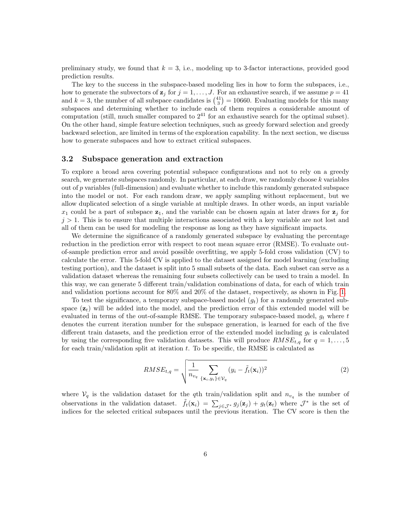preliminary study, we found that  $k = 3$ , i.e., modeling up to 3-factor interactions, provided good prediction results.

The key to the success in the subspace-based modeling lies in how to form the subspaces, i.e., how to generate the subvectors of  $z_j$  for  $j = 1, \ldots, J$ . For an exhaustive search, if we assume  $p = 41$ and  $k = 3$ , the number of all subspace candidates is  $\binom{41}{3} = 10660$ . Evaluating models for this many subspaces and determining whether to include each of them requires a considerable amount of computation (still, much smaller compared to  $2^{41}$  for an exhaustive search for the optimal subset). On the other hand, simple feature selection techniques, such as greedy forward selection and greedy backward selection, are limited in terms of the exploration capability. In the next section, we discuss how to generate subspaces and how to extract critical subspaces.

#### 3.2 Subspace generation and extraction

To explore a broad area covering potential subspace configurations and not to rely on a greedy search, we generate subspaces randomly. In particular, at each draw, we randomly choose  $k$  variables out of p variables (full-dimension) and evaluate whether to include this randomly generated subspace into the model or not. For each random draw, we apply sampling without replacement, but we allow duplicated selection of a single variable at multiple draws. In other words, an input variable  $x_1$  could be a part of subspace  $z_1$ , and the variable can be chosen again at later draws for  $z_i$  for  $j > 1$ . This is to ensure that multiple interactions associated with a key variable are not lost and all of them can be used for modeling the response as long as they have significant impacts.

We determine the significance of a randomly generated subspace by evaluating the percentage reduction in the prediction error with respect to root mean square error (RMSE). To evaluate outof-sample prediction error and avoid possible overfitting, we apply 5-fold cross validation (CV) to calculate the error. This 5-fold CV is applied to the dataset assigned for model learning (excluding testing portion), and the dataset is split into 5 small subsets of the data. Each subset can serve as a validation dataset whereas the remaining four subsets collectively can be used to train a model. In this way, we can generate 5 different train/validation combinations of data, for each of which train and validation portions account for 80% and 20% of the dataset, respectively, as shown in Fig. [1.](#page-6-0)

To test the significance, a temporary subspace-based model  $(g_t)$  for a randomly generated subspace  $(z_t)$  will be added into the model, and the prediction error of this extended model will be evaluated in terms of the out-of-sample RMSE. The temporary subspace-based model,  $g_t$  where t denotes the current iteration number for the subspace generation, is learned for each of the five different train datasets, and the prediction error of the extended model including  $g_t$  is calculated by using the corresponding five validation datasets. This will produce  $RMSE_{t,q}$  for  $q = 1, \ldots, 5$ for each train/validation split at iteration  $t$ . To be specific, the RMSE is calculated as

$$
RMSE_{t,q} = \sqrt{\frac{1}{n_{v_q}} \sum_{\{\mathbf{x}_i, y_i\} \in \mathcal{V}_q} (y_i - \tilde{f}_t(\mathbf{x}_i))^2}
$$
(2)

where  $V_q$  is the validation dataset for the qth train/validation split and  $n_{v_q}$  is the number of observations in the validation dataset.  $\tilde{f}_t(\mathbf{x}_i) = \sum_{j \in \mathcal{J}^*} g_j(\mathbf{z}_j) + g_t(\mathbf{z}_t)$  where  $\mathcal{J}^*$  is the set of indices for the selected critical subspaces until the previous iteration. The CV score is then the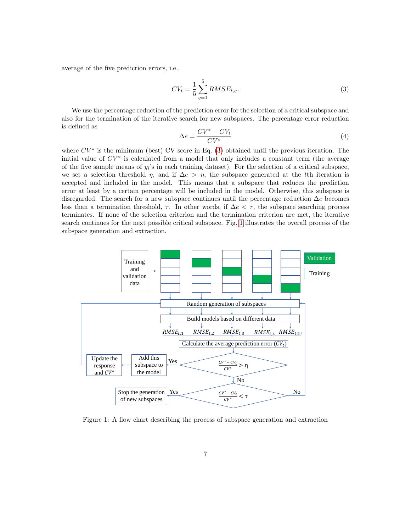average of the five prediction errors, i.e.,

<span id="page-6-1"></span>
$$
CV_t = \frac{1}{5} \sum_{q=1}^{5} RMSE_{t,q}.
$$
\n(3)

We use the percentage reduction of the prediction error for the selection of a critical subspace and also for the termination of the iterative search for new subspaces. The percentage error reduction is defined as

<span id="page-6-2"></span>
$$
\Delta e = \frac{CV^* - CV_t}{CV^*} \tag{4}
$$

where  $CV^*$  is the minimum (best) CV score in Eq. [\(3\)](#page-6-1) obtained until the previous iteration. The initial value of  $CV^*$  is calculated from a model that only includes a constant term (the average of the five sample means of  $y_i$ 's in each training dataset). For the selection of a critical subspace, we set a selection threshold  $\eta$ , and if  $\Delta e > \eta$ , the subspace generated at the tth iteration is accepted and included in the model. This means that a subspace that reduces the prediction error at least by a certain percentage will be included in the model. Otherwise, this subspace is disregarded. The search for a new subspace continues until the percentage reduction  $\Delta e$  becomes less than a termination threshold,  $\tau$ . In other words, if  $\Delta e < \tau$ , the subspace searching process terminates. If none of the selection criterion and the termination criterion are met, the iterative search continues for the next possible critical subspace. Fig. [1](#page-6-0) illustrates the overall process of the subspace generation and extraction.

<span id="page-6-0"></span>

Figure 1: A flow chart describing the process of subspace generation and extraction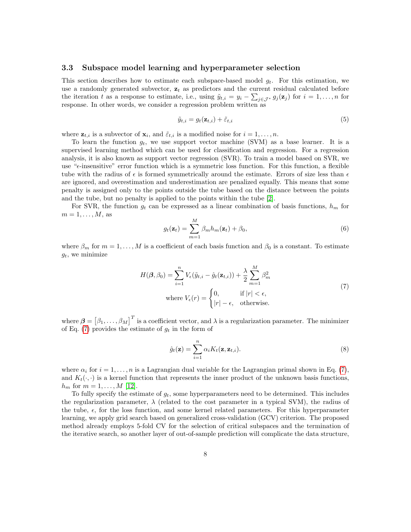#### <span id="page-7-2"></span>3.3 Subspace model learning and hyperparameter selection

This section describes how to estimate each subspace-based model  $g_t$ . For this estimation, we use a randomly generated subvector,  $z_t$  as predictors and the current residual calculated before the iteration t as a response to estimate, i.e., using  $\tilde{y}_{t,i} = y_i - \sum_{j \in \mathcal{J}^*} g_j(\mathbf{z}_j)$  for  $i = 1, \ldots, n$  for response. In other words, we consider a regression problem written as

<span id="page-7-1"></span>
$$
\tilde{y}_{t,i} = g_t(\mathbf{z}_{t,i}) + \tilde{\varepsilon}_{t,i} \tag{5}
$$

where  $\mathbf{z}_{t,i}$  is a subvector of  $\mathbf{x}_i$ , and  $\tilde{\varepsilon}_{t,i}$  is a modified noise for  $i = 1, \ldots, n$ .

To learn the function  $g_t$ , we use support vector machine (SVM) as a base learner. It is a supervised learning method which can be used for classification and regression. For a regression analysis, it is also known as support vector regression (SVR). To train a model based on SVR, we use " $\epsilon$ -insensitive" error function which is a symmetric loss function. For this function, a flexible tube with the radius of  $\epsilon$  is formed symmetrically around the estimate. Errors of size less than  $\epsilon$ are ignored, and overestimation and underestimation are penalized equally. This means that some penalty is assigned only to the points outside the tube based on the distance between the points and the tube, but no penalty is applied to the points within the tube [\[2\]](#page-19-13).

For SVR, the function  $g_t$  can be expressed as a linear combination of basis functions,  $h_m$  for  $m=1,\ldots,M$ , as

$$
g_t(\mathbf{z}_t) = \sum_{m=1}^{M} \beta_m h_m(\mathbf{z}_t) + \beta_0,
$$
\n(6)

where  $\beta_m$  for  $m = 1, \ldots, M$  is a coefficient of each basis function and  $\beta_0$  is a constant. To estimate  $g_t$ , we minimize

$$
H(\boldsymbol{\beta}, \beta_0) = \sum_{i=1}^n V_{\epsilon}(\tilde{y}_{t,i} - \hat{g}_t(\mathbf{z}_{t,i})) + \frac{\lambda}{2} \sum_{m=1}^M \beta_m^2
$$
  
where  $V_{\epsilon}(r) = \begin{cases} 0, & \text{if } |r| < \epsilon, \\ |r| - \epsilon, & \text{otherwise.} \end{cases}$  (7)

<span id="page-7-0"></span>where  $\boldsymbol{\beta} = [\beta_1, \ldots, \beta_M]^T$  is a coefficient vector, and  $\lambda$  is a regularization parameter. The minimizer of Eq. [\(7\)](#page-7-0) provides the estimate of  $g_t$  in the form of

$$
\hat{g}_t(\mathbf{z}) = \sum_{i=1}^n \alpha_i K_t(\mathbf{z}, \mathbf{z}_{t,i}).
$$
\n(8)

where  $\alpha_i$  for  $i = 1, \ldots, n$  is a Lagrangian dual variable for the Lagrangian primal shown in Eq. [\(7\)](#page-7-0), and  $K_t(\cdot, \cdot)$  is a kernel function that represents the inner product of the unknown basis functions,  $h_m$  for  $m = 1, ..., M$  [\[12\]](#page-19-2).

To fully specify the estimate of  $g_t$ , some hyperparameters need to be determined. This includes the regularization parameter,  $\lambda$  (related to the cost parameter in a typical SVM), the radius of the tube,  $\epsilon$ , for the loss function, and some kernel related parameters. For this hyperparameter learning, we apply grid search based on generalized cross-validation (GCV) criterion. The proposed method already employs 5-fold CV for the selection of critical subspaces and the termination of the iterative search, so another layer of out-of-sample prediction will complicate the data structure,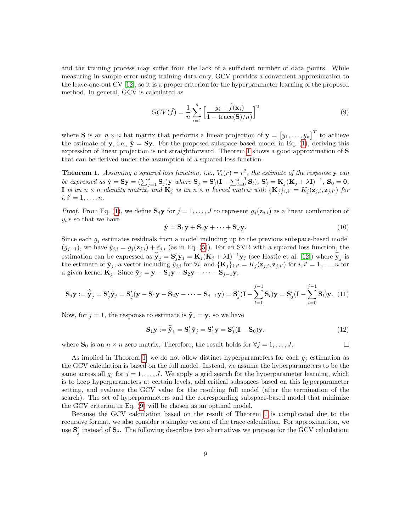and the training process may suffer from the lack of a sufficient number of data points. While measuring in-sample error using training data only, GCV provides a convenient approximation to the leave-one-out CV [\[12\]](#page-19-2), so it is a proper criterion for the hyperparameter learning of the proposed method. In general, GCV is calculated as

<span id="page-8-1"></span>
$$
GCV(\hat{f}) = \frac{1}{n} \sum_{i=1}^{n} \left[ \frac{y_i - \hat{f}(\mathbf{x}_i)}{1 - \text{trace}(\mathbf{S})/n} \right]^2
$$
(9)

where **S** is an  $n \times n$  hat matrix that performs a linear projection of  $\mathbf{y} = \begin{bmatrix} y_1, \ldots, y_n \end{bmatrix}^T$  to achieve the estimate of y, i.e.,  $\hat{y} = Sy$ . For the proposed subspace-based model in Eq. [\(1\)](#page-4-1), deriving this expression of linear projection is not straightforward. Theorem [1](#page-8-0) shows a good approximation of S that can be derived under the assumption of a squared loss function.

<span id="page-8-0"></span>**Theorem 1.** Assuming a squared loss function, i.e.,  $V_{\epsilon}(r) = r^2$ , the estimate of the response y can be expressed as  $\hat{\mathbf{y}} = \mathbf{S}\mathbf{y} = (\sum_{j=1}^{J} \mathbf{S}_j)\mathbf{y}$  where  $\mathbf{S}_j = \mathbf{S}'_j(\mathbf{I} - \sum_{l=0}^{j-1} \mathbf{S}_l), \mathbf{S}'_j = \mathbf{K}_j(\mathbf{K}_j + \lambda \mathbf{I})^{-1}, \mathbf{S}_0 = \mathbf{0},$ **I** is an  $n \times n$  identity matrix, and  $\mathbf{K}_j$  is an  $n \times n$  kernel matrix with  $\{\mathbf{K}_j\}_{i,i'} = K_j(\mathbf{z}_{j,i}, \mathbf{z}_{j,i'})$  for  $i, i' = 1, \ldots, n$ .

*Proof.* From Eq. [\(1\)](#page-4-1), we define  $S_i y$  for  $j = 1, ..., J$  to represent  $g_i(z_{i,i})$  as a linear combination of  $y_i$ 's so that we have

$$
\hat{\mathbf{y}} = \mathbf{S}_1 \mathbf{y} + \mathbf{S}_2 \mathbf{y} + \dots + \mathbf{S}_J \mathbf{y}.\tag{10}
$$

Since each  $g_i$  estimates residuals from a model including up to the previous subspace-based model  $(g_{j-1})$ , we have  $\tilde{y}_{j,i} = g_j(\mathbf{z}_{j,i}) + \tilde{\varepsilon}_{j,i}$  (as in Eq. [\(5\)](#page-7-1)). For an SVR with a squared loss function, the estimation can be expressed as  $\hat{\mathbf{y}}_j = \mathbf{S}_j' \tilde{\mathbf{y}}_j = \mathbf{K}_j (\mathbf{K}_j + \lambda \mathbf{I})^{-1} \tilde{\mathbf{y}}_j$  (see Hastie et al. [\[12\]](#page-19-2)) where  $\hat{\tilde{\mathbf{y}}}_j$  is the estimate of  $\tilde{\mathbf{y}}_j$ , a vector including  $\tilde{y}_{j,i}$  for  $\forall i$ , and  $\{\mathbf{K}_j\}_{i,i'} = K_j(\mathbf{z}_{j,i}, \mathbf{z}_{j,i'})$  for  $i, i'=1, \ldots, n$  for a given kernel  $\mathbf{K}_j$ . Since  $\tilde{\mathbf{y}}_j = \mathbf{y} - \mathbf{S}_1 \mathbf{y} - \mathbf{S}_2 \mathbf{y} - \cdots - \mathbf{S}_{j-1} \mathbf{y}$ ,

$$
\mathbf{S}_{j}\mathbf{y} := \widehat{\widetilde{\mathbf{y}}}_{j} = \mathbf{S}_{j}'\widetilde{\mathbf{y}}_{j} = \mathbf{S}_{j}'(\mathbf{y} - \mathbf{S}_{1}\mathbf{y} - \mathbf{S}_{2}\mathbf{y} - \cdots - \mathbf{S}_{j-1}\mathbf{y}) = \mathbf{S}_{j}'(\mathbf{I} - \sum_{l=1}^{j-1} \mathbf{S}_{l})\mathbf{y} = \mathbf{S}_{j}'(\mathbf{I} - \sum_{l=0}^{j-1} \mathbf{S}_{l})\mathbf{y}.
$$
 (11)

Now, for  $j = 1$ , the response to estimate is  $\tilde{\mathbf{y}}_1 = \mathbf{y}$ , so we have

$$
\mathbf{S}_1 \mathbf{y} := \widehat{\mathbf{y}}_1 = \mathbf{S}_1' \widetilde{\mathbf{y}}_j = \mathbf{S}_1' \mathbf{y} = \mathbf{S}_1' (\mathbf{I} - \mathbf{S}_0) \mathbf{y}.
$$
 (12)

 $\Box$ 

where  $\mathbf{S}_0$  is an  $n \times n$  zero matrix. Therefore, the result holds for  $\forall j = 1, \ldots, J$ .

As implied in Theorem [1,](#page-8-0) we do not allow distinct hyperparameters for each  $g_i$  estimation as the GCV calculation is based on the full model. Instead, we assume the hyperparameters to be the same across all  $g_i$  for  $j = 1, \ldots, J$ . We apply a grid search for the hyperparameter learning, which is to keep hyperparameters at certain levels, add critical subspaces based on this hyperparameter setting, and evaluate the GCV value for the resulting full model (after the termination of the search). The set of hyperparameters and the corresponding subspace-based model that minimize the GCV criterion in Eq. [\(9\)](#page-8-1) will be chosen as an optimal model.

Because the GCV calculation based on the result of Theorem [1](#page-8-0) is complicated due to the recursive format, we also consider a simpler version of the trace calculation. For approximation, we use  $\mathbf{S}'_j$  instead of  $\mathbf{S}_j$ . The following describes two alternatives we propose for the GCV calculation: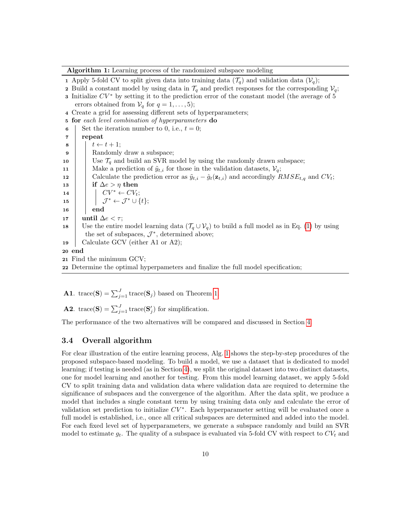Algorithm 1: Learning process of the randomized subspace modeling

1 Apply 5-fold CV to split given data into training data  $(\mathcal{T}_q)$  and validation data  $(\mathcal{V}_q)$ ; 2 Build a constant model by using data in  $\mathcal{T}_q$  and predict responses for the corresponding  $\mathcal{V}_q$ ; **3** Initialize  $CV^*$  by setting it to the prediction error of the constant model (the average of 5 errors obtained from  $V_q$  for  $q = 1, \ldots, 5$ ; 4 Create a grid for assessing different sets of hyperparameters; 5 for each level combination of hyperparameters do 6 Set the iteration number to 0, i.e.,  $t = 0$ ; 7 repeat  $\mathbf{8}$   $t \leftarrow t + 1;$ **9** Randomly draw a subspace; 10 Use  $\mathcal{T}_q$  and build an SVR model by using the randomly drawn subspace; 11 | Make a prediction of  $\tilde{y}_{t,i}$  for those in the validation datasets,  $V_q$ ; 12 Calculate the prediction error as  $\tilde{y}_{t,i} - \hat{g}_t(\mathbf{z}_{t,i})$  and accordingly  $RMSE_{t,q}$  and  $CV_t$ ; 13 if  $\Delta e > \eta$  then 14  $\vert \vert \vert CCV^* \leftarrow CV_t;$  $\begin{align} \mathbf{15} \quad | \quad \quad | \quad \mathcal{J}^* \leftarrow \mathcal{J}^* \cup \{t\}; \end{align}$ 16 end 17 | until  $\Delta e < \tau$ ; 18 Use the entire model learning data  $(\mathcal{T}_q \cup \mathcal{V}_q)$  to build a full model as in Eq. [\(1\)](#page-4-1) by using the set of subspaces,  $\mathcal{J}^*$ , determined above; 19 Calculate GCV (either A1 or A2); 20 end 21 Find the minimum GCV;

<span id="page-9-0"></span>22 Determine the optimal hyperpameters and finalize the full model specification;

**A1**. trace(S) =  $\sum_{j=1}^{J}$  trace(S<sub>j</sub>) based on Theorem [1.](#page-8-0)

**A2.** trace(S) =  $\sum_{j=1}^{J}$  trace(S'<sub>j</sub>) for simplification.

The performance of the two alternatives will be compared and discussed in Section [4.](#page-10-0)

### 3.4 Overall algorithm

For clear illustration of the entire learning process, Alg. [1](#page-9-0) shows the step-by-step procedures of the proposed subspace-based modeling. To build a model, we use a dataset that is dedicated to model learning; if testing is needed (as in Section [4\)](#page-10-0), we split the original dataset into two distinct datasets, one for model learning and another for testing. From this model learning dataset, we apply 5-fold CV to split training data and validation data where validation data are required to determine the significance of subspaces and the convergence of the algorithm. After the data split, we produce a model that includes a single constant term by using training data only and calculate the error of validation set prediction to initialize  $CV^*$ . Each hyperparameter setting will be evaluated once a full model is established, i.e., once all critical subspaces are determined and added into the model. For each fixed level set of hyperparameters, we generate a subspace randomly and build an SVR model to estimate  $g_t$ . The quality of a subspace is evaluated via 5-fold CV with respect to  $CV_t$  and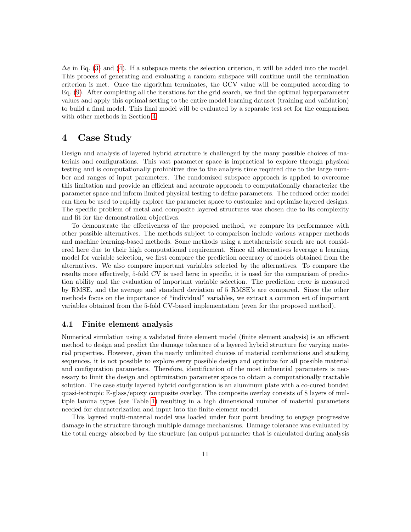$\Delta e$  in Eq. [\(3\)](#page-6-1) and [\(4\)](#page-6-2). If a subspace meets the selection criterion, it will be added into the model. This process of generating and evaluating a random subspace will continue until the termination criterion is met. Once the algorithm terminates, the GCV value will be computed according to Eq. [\(9\)](#page-8-1). After completing all the iterations for the grid search, we find the optimal hyperparameter values and apply this optimal setting to the entire model learning dataset (training and validation) to build a final model. This final model will be evaluated by a separate test set for the comparison with other methods in Section [4.](#page-10-0)

# <span id="page-10-0"></span>4 Case Study

Design and analysis of layered hybrid structure is challenged by the many possible choices of materials and configurations. This vast parameter space is impractical to explore through physical testing and is computationally prohibitive due to the analysis time required due to the large number and ranges of input parameters. The randomized subspace approach is applied to overcome this limitation and provide an efficient and accurate approach to computationally characterize the parameter space and inform limited physical testing to define parameters. The reduced order model can then be used to rapidly explore the parameter space to customize and optimize layered designs. The specific problem of metal and composite layered structures was chosen due to its complexity and fit for the demonstration objectives.

To demonstrate the effectiveness of the proposed method, we compare its performance with other possible alternatives. The methods subject to comparison include various wrapper methods and machine learning-based methods. Some methods using a metaheuristic search are not considered here due to their high computational requirement. Since all alternatives leverage a learning model for variable selection, we first compare the prediction accuracy of models obtained from the alternatives. We also compare important variables selected by the alternatives. To compare the results more effectively, 5-fold CV is used here; in specific, it is used for the comparison of prediction ability and the evaluation of important variable selection. The prediction error is measured by RMSE, and the average and standard deviation of 5 RMSE's are compared. Since the other methods focus on the importance of "individual" variables, we extract a common set of important variables obtained from the 5-fold CV-based implementation (even for the proposed method).

### 4.1 Finite element analysis

Numerical simulation using a validated finite element model (finite element analysis) is an efficient method to design and predict the damage tolerance of a layered hybrid structure for varying material properties. However, given the nearly unlimited choices of material combinations and stacking sequences, it is not possible to explore every possible design and optimize for all possible material and configuration parameters. Therefore, identification of the most influential parameters is necessary to limit the design and optimization parameter space to obtain a computationally tractable solution. The case study layered hybrid configuration is an aluminum plate with a co-cured bonded quasi-isotropic E-glass/epoxy composite overlay. The composite overlay consists of 8 layers of multiple lamina types (see Table [1\)](#page-11-0) resulting in a high dimensional number of material parameters needed for characterization and input into the finite element model.

This layered multi-material model was loaded under four point bending to engage progressive damage in the structure through multiple damage mechanisms. Damage tolerance was evaluated by the total energy absorbed by the structure (an output parameter that is calculated during analysis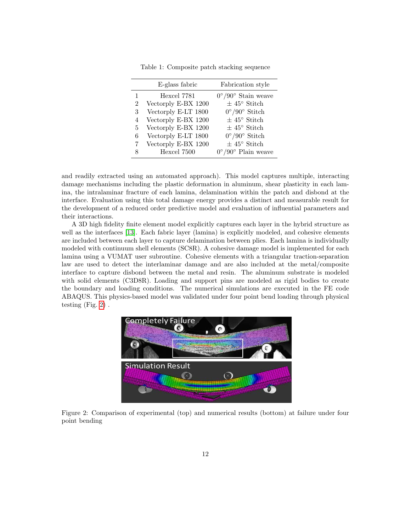<span id="page-11-0"></span>

|                | E-glass fabric      | Fabrication style                  |
|----------------|---------------------|------------------------------------|
| 1              | Hexcel 7781         | $0^{\circ}/90^{\circ}$ Stain weave |
| $\overline{2}$ | Vectorply E-BX 1200 | $\pm$ 45° Stitch                   |
| 3              | Vectorply E-LT 1800 | $0^{\circ}/90^{\circ}$ Stitch      |
| 4              | Vectorply E-BX 1200 | $\pm$ $45^{\circ}$ Stitch          |
| 5              | Vectorply E-BX 1200 | $\pm$ 45° Stitch                   |
| 6              | Vectorply E-LT 1800 | $0^{\circ}/90^{\circ}$ Stitch      |
| 7              | Vectorply E-BX 1200 | $\pm$ 45° Stitch                   |
| 8              | Hexcel 7500         | $0^{\circ}/90^{\circ}$ Plain weave |

Table 1: Composite patch stacking sequence

and readily extracted using an automated approach). This model captures multiple, interacting damage mechanisms including the plastic deformation in aluminum, shear plasticity in each lamina, the intralaminar fracture of each lamina, delamination within the patch and disbond at the interface. Evaluation using this total damage energy provides a distinct and measurable result for the development of a reduced order predictive model and evaluation of influential parameters and their interactions.

A 3D high fidelity finite element model explicitly captures each layer in the hybrid structure as well as the interfaces [\[13\]](#page-19-14). Each fabric layer (lamina) is explicitly modeled, and cohesive elements are included between each layer to capture delamination between plies. Each lamina is individually modeled with continuum shell elements (SC8R). A cohesive damage model is implemented for each lamina using a VUMAT user subroutine. Cohesive elements with a triangular traction-separation law are used to detect the interlaminar damage and are also included at the metal/composite interface to capture disbond between the metal and resin. The aluminum substrate is modeled with solid elements (C3D8R). Loading and support pins are modeled as rigid bodies to create the boundary and loading conditions. The numerical simulations are executed in the FE code ABAQUS. This physics-based model was validated under four point bend loading through physical testing (Fig. [2\)](#page-11-1) .

<span id="page-11-1"></span>

Figure 2: Comparison of experimental (top) and numerical results (bottom) at failure under four point bending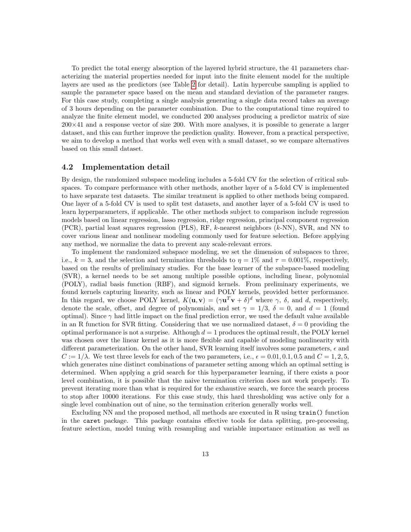To predict the total energy absorption of the layered hybrid structure, the 41 parameters characterizing the material properties needed for input into the finite element model for the multiple layers are used as the predictors (see Table [2](#page-13-0) for detail). Latin hypercube sampling is applied to sample the parameter space based on the mean and standard deviation of the parameter ranges. For this case study, completing a single analysis generating a single data record takes an average of 3 hours depending on the parameter combination. Due to the computational time required to analyze the finite element model, we conducted 200 analyses producing a predictor matrix of size  $200\times41$  and a response vector of size 200. With more analyses, it is possible to generate a larger dataset, and this can further improve the prediction quality. However, from a practical perspective, we aim to develop a method that works well even with a small dataset, so we compare alternatives based on this small dataset.

#### 4.2 Implementation detail

By design, the randomized subspace modeling includes a 5-fold CV for the selection of critical subspaces. To compare performance with other methods, another layer of a 5-fold CV is implemented to have separate test datasets. The similar treatment is applied to other methods being compared. One layer of a 5-fold CV is used to split test datasets, and another layer of a 5-fold CV is used to learn hyperparameters, if applicable. The other methods subject to comparison include regression models based on linear regression, lasso regression, ridge regression, principal component regression (PCR), partial least squares regression (PLS), RF, k-nearest neighbors (k-NN), SVR, and NN to cover various linear and nonlinear modeling commonly used for feature selection. Before applying any method, we normalize the data to prevent any scale-relevant errors.

To implement the randomized subspace modeling, we set the dimension of subspaces to three, i.e.,  $k = 3$ , and the selection and termination thresholds to  $\eta = 1\%$  and  $\tau = 0.001\%$ , respectively, based on the results of preliminary studies. For the base learner of the subspace-based modeling (SVR), a kernel needs to be set among multiple possible options, including linear, polynomial (POLY), radial basis function (RBF), and sigmoid kernels. From preliminary experiments, we found kernels capturing linearity, such as linear and POLY kernels, provided better performance. In this regard, we choose POLY kernel,  $K(\mathbf{u}, \mathbf{v}) = (\gamma \mathbf{u}^T \mathbf{v} + \delta)^d$  where  $\gamma$ ,  $\delta$ , and d, respectively, denote the scale, offset, and degree of polynomials, and set  $\gamma = 1/3$ ,  $\delta = 0$ , and  $d = 1$  (found optimal). Since  $\gamma$  had little impact on the final prediction error, we used the default value available in an R function for SVR fitting. Considering that we use normalized dataset,  $\delta = 0$  providing the optimal performance is not a surprise. Although  $d = 1$  produces the optimal result, the POLY kernel was chosen over the linear kernel as it is more flexible and capable of modeling nonlinearity with different parameterization. On the other hand, SVR learning itself involves some parameters,  $\epsilon$  and  $C := 1/\lambda$ . We test three levels for each of the two parameters, i.e.,  $\epsilon = 0.01, 0.1, 0.5$  and  $C = 1, 2, 5$ , which generates nine distinct combinations of parameter setting among which an optimal setting is determined. When applying a grid search for this hyperparameter learning, if there exists a poor level combination, it is possible that the naive termination criterion does not work properly. To prevent iterating more than what is required for the exhaustive search, we force the search process to stop after 10000 iterations. For this case study, this hard thresholding was active only for a single level combination out of nine, so the termination criterion generally works well.

Excluding NN and the proposed method, all methods are executed in R using train() function in the caret package. This package contains effective tools for data splitting, pre-processing, feature selection, model tuning with resampling and variable importance estimation as well as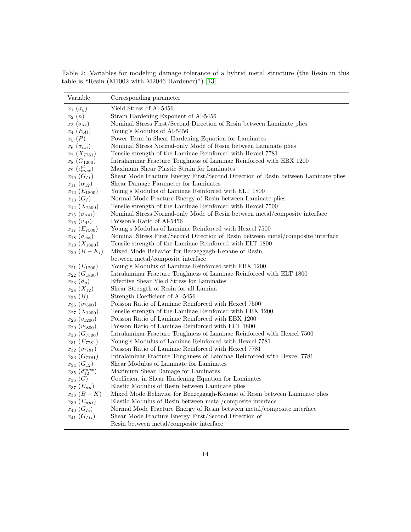<span id="page-13-0"></span>Table 2: Variables for modeling damage tolerance of a hybrid metal structure (the Resin in this table is "Resin (M1002 with M2046 Hardener)") [\[13\]](#page-19-14)

 $\overline{\phantom{a}}$ 

| Variable                      | Corresponding parameter                                                                                                        |
|-------------------------------|--------------------------------------------------------------------------------------------------------------------------------|
| $x_1(\sigma_y)$               | Yield Stress of Al-5456                                                                                                        |
| $x_2(n)$                      | Strain Hardening Exponent of Al-5456                                                                                           |
| $x_3(\sigma_{ss})$            | Nominal Stress First/Second Direction of Resin between Laminate plies                                                          |
| $x_4(E_{Al})$                 | Young's Modulus of Al-5456                                                                                                     |
| $x_5(P)$                      | Power Term in Shear Hardening Equation for Laminates                                                                           |
| $x_6$ $(\sigma_{nn})$         | Nominal Stress Normal-only Mode of Resin between Laminate plies                                                                |
| $x_7(X_{7781})$               | Tensile strength of the Laminae Reinforced with Hexcel 7781                                                                    |
| $x_8(G_{1200})$               | Intralaminar Fracture Toughness of Laminae Reinforced with EBX 1200                                                            |
| $x_9$ $(\epsilon_{max}^{pl})$ | Maximum Shear Plastic Strain for Laminates                                                                                     |
| $x_{10}$ $(G_{II})$           | Shear Mode Fracture Energy First/Second Direction of Resin between Laminate plies                                              |
| $x_{11} (\alpha_{12})$        | Shear Damage Parameter for Laminates                                                                                           |
| $x_{12}$ $(E_{1800})$         | Young's Modulus of Laminae Reinforced with ELT 1800                                                                            |
| $x_{13} (G_I)$                | Normal Mode Fracture Energy of Resin between Laminate plies                                                                    |
| $x_{14}$ $(X_{7500})$         | Tensile strength of the Laminae Reinforced with Hexcel 7500                                                                    |
| $x_{15}(\sigma_{nni})$        | Nominal Stress Normal-only Mode of Resin between metal/composite interface                                                     |
| $x_{16}(v_{Al})$              | Poisson's Ratio of Al-5456                                                                                                     |
| $x_{17}$ $(E_{7500})$         | Young's Modulus of Laminae Reinforced with Hexcel 7500                                                                         |
| $x_{18} (\sigma_{ssi})$       | Nominal Stress First/Second Direction of Resin between metal/composite interface                                               |
| $x_{19} (X_{1800})$           | Tensile strength of the Laminae Reinforced with ELT 1800                                                                       |
| $x_{20} (B - K_i)$            | Mixed Mode Behavior for Benzeggagh-Kenane of Resin                                                                             |
|                               | between metal/composite interface                                                                                              |
| $x_{21}$ $(E_{1200})$         | Young's Modulus of Laminae Reinforced with EBX 1200                                                                            |
| $x_{22}$ $(G_{1800})$         | Intralaminar Fracture Toughness of Laminae Reinforced with ELT 1800                                                            |
| $x_{23}(\tilde{\sigma}_y)$    | Effective Shear Yield Stress for Laminates                                                                                     |
| $x_{24} (X_{12})$             | Shear Strength of Resin for all Lamina                                                                                         |
| $x_{25} (B)$                  | Strength Coefficient of Al-5456                                                                                                |
| $x_{26}$ $(v_{7500})$         | Poisson Ratio of Laminae Reinforced with Hexcel 7500                                                                           |
| $x_{27}$ $(X_{1200})$         | Tensile strength of the Laminae Reinforced with EBX 1200                                                                       |
| $x_{28} (v_{1200})$           | Poisson Ratio of Laminae Reinforced with EBX 1200                                                                              |
| $x_{29} (v_{1800})$           | Poisson Ratio of Laminae Reinforced with ELT 1800                                                                              |
| $x_{30}$ $(G_{7500})$         | Intralaminar Fracture Toughness of Laminae Reinforced with Hexcel 7500                                                         |
| $x_{31} (E_{7781})$           | Young's Modulus of Laminae Reinforced with Hexcel 7781                                                                         |
| $x_{32} (v_{7781})$           | Poisson Ratio of Laminae Reinforced with Hexcel 7781                                                                           |
| $x_{33}$ $(G_{7781})$         | Intralaminar Fracture Toughness of Laminae Reinforced with Hexcel 7781                                                         |
| $x_{34}$ $(G_{12})$           | Shear Modulus of Laminate for Laminates                                                                                        |
| $x_{35} (d_{12}^{max})$       | Maximum Shear Damage for Laminates                                                                                             |
| $x_{36}$ (C)                  | Coefficient in Shear Hardening Equation for Laminates                                                                          |
| $x_{37} (E_{nn})$             | Elastic Modulus of Resin between Laminate plies                                                                                |
| $x_{38} (B - K)$              | Mixed Mode Behavior for Benzeggagh-Kenane of Resin between Laminate plies                                                      |
| $x_{39} (E_{nni})$            | Elastic Modulus of Resin between metal/composite interface                                                                     |
| $x_{40} (G_{Ii})$             | Normal Mode Fracture Energy of Resin between metal/composite interface<br>Shear Mode Fracture Energy First/Second Direction of |
| $x_{41} (G_{II})$             |                                                                                                                                |
|                               | Resin between metal/composite interface                                                                                        |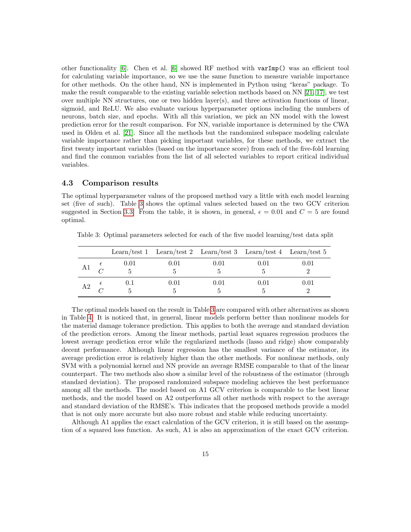other functionality  $[6]$ . Chen et al.  $[6]$  showed RF method with varImp() was an efficient tool for calculating variable importance, so we use the same function to measure variable importance for other methods. On the other hand, NN is implemented in Python using "keras" package. To make the result comparable to the existing variable selection methods based on NN [\[21,](#page-20-14) [17\]](#page-20-1), we test over multiple NN structures, one or two hidden layer(s), and three activation functions of linear, sigmoid, and ReLU. We also evaluate various hyperparameter options including the numbers of neurons, batch size, and epochs. With all this variation, we pick an NN model with the lowest prediction error for the result comparison. For NN, variable importance is determined by the CWA used in Olden et al. [\[21\]](#page-20-14). Since all the methods but the randomized subspace modeling calculate variable importance rather than picking important variables, for these methods, we extract the first twenty important variables (based on the importance score) from each of the five-fold learning and find the common variables from the list of all selected variables to report critical individual variables.

### <span id="page-14-1"></span>4.3 Comparison results

The optimal hyperparameter values of the proposed method vary a little with each model learning set (five of such). Table [3](#page-14-0) shows the optimal values selected based on the two GCV criterion suggested in Section [3.3.](#page-7-2) From the table, it is shown, in general,  $\epsilon = 0.01$  and  $C = 5$  are found optimal.

|                |      | Learn/test 1 Learn/test 2 Learn/test 3 Learn/test 4 Learn/test 5 |      |      |          |
|----------------|------|------------------------------------------------------------------|------|------|----------|
| A1             | 0.01 | 0.01                                                             | 0.01 | 0.01 | 0.01     |
| A <sub>2</sub> | 0.1  | 0.01                                                             | 0.01 | 0.01 | $0.01\,$ |

<span id="page-14-0"></span>Table 3: Optimal parameters selected for each of the five model learning/test data split

The optimal models based on the result in Table [3](#page-14-0) are compared with other alternatives as shown in Table [4.](#page-15-0) It is noticed that, in general, linear models perform better than nonlinear models for the material damage tolerance prediction. This applies to both the average and standard deviation of the prediction errors. Among the linear methods, partial least squares regression produces the lowest average prediction error while the regularized methods (lasso and ridge) show comparably decent performance. Although linear regression has the smallest variance of the estimator, its average prediction error is relatively higher than the other methods. For nonlinear methods, only SVM with a polynomial kernel and NN provide an average RMSE comparable to that of the linear counterpart. The two methods also show a similar level of the robustness of the estimator (through standard deviation). The proposed randomized subspace modeling achieves the best performance among all the methods. The model based on A1 GCV criterion is comparable to the best linear methods, and the model based on A2 outperforms all other methods with respect to the average and standard deviation of the RMSE's. This indicates that the proposed methods provide a model that is not only more accurate but also more robust and stable while reducing uncertainty.

Although A1 applies the exact calculation of the GCV criterion, it is still based on the assumption of a squared loss function. As such, A1 is also an approximation of the exact GCV criterion.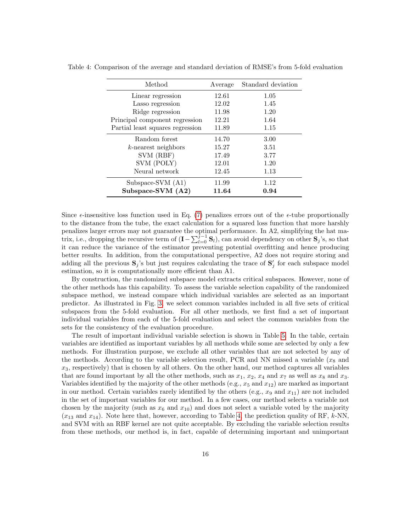| Method                           | Average | Standard deviation |
|----------------------------------|---------|--------------------|
| Linear regression                | 12.61   | 1.05               |
| Lasso regression                 | 12.02   | 1.45               |
| Ridge regression                 | 11.98   | 1.20               |
| Principal component regression   | 12.21   | 1.64               |
| Partial least squares regression | 11.89   | 1.15               |
| Random forest                    | 14.70   | 3.00               |
| $k$ -nearest neighbors           | 15.27   | 3.51               |
| SVM (RBF)                        | 17.49   | 3.77               |
| SVM (POLY)                       | 12.01   | 1.20               |
| Neural network                   | 12.45   | 1.13               |
| Subspace-SVM (A1)                | 11.99   | 1.12               |
| Subspace-SVM (A2)                | 11.64   | 0.94               |

<span id="page-15-0"></span>Table 4: Comparison of the average and standard deviation of RMSE's from 5-fold evaluation

Since  $\epsilon$ -insensitive loss function used in Eq. [\(7\)](#page-7-0) penalizes errors out of the  $\epsilon$ -tube proportionally to the distance from the tube, the exact calculation for a squared loss function that more harshly penalizes larger errors may not guarantee the optimal performance. In A2, simplifying the hat matrix, i.e., dropping the recursive term of  $(I - \sum_{l=0}^{j-1} S_l)$ , can avoid dependency on other  $S_j$ 's, so that it can reduce the variance of the estimator preventing potential overfitting and hence producing better results. In addition, from the computational perspective, A2 does not require storing and adding all the previous  $S_j$ 's but just requires calculating the trace of  $S'_j$  for each subspace model estimation, so it is computationally more efficient than A1.

By construction, the randomized subspace model extracts critical subspaces. However, none of the other methods has this capability. To assess the variable selection capability of the randomized subspace method, we instead compare which individual variables are selected as an important predictor. As illustrated in Fig. [3,](#page-16-0) we select common variables included in all five sets of critical subspaces from the 5-fold evaluation. For all other methods, we first find a set of important individual variables from each of the 5-fold evaluation and select the common variables from the sets for the consistency of the evaluation procedure.

The result of important individual variable selection is shown in Table [5.](#page-16-1) In the table, certain variables are identified as important variables by all methods while some are selected by only a few methods. For illustration purpose, we exclude all other variables that are not selected by any of the methods. According to the variable selection result, PCR and NN missed a variable  $(x_8)$  and  $x_3$ , respectively) that is chosen by all others. On the other hand, our method captures all variables that are found important by all the other methods, such as  $x_1$ ,  $x_2$ ,  $x_4$  and  $x_7$  as well as  $x_8$  and  $x_3$ . Variables identified by the majority of the other methods (e.g.,  $x_5$  and  $x_{12}$ ) are marked as important in our method. Certain variables rarely identified by the others (e.g.,  $x_9$  and  $x_{11}$ ) are not included in the set of important variables for our method. In a few cases, our method selects a variable not chosen by the majority (such as  $x_6$  and  $x_{10}$ ) and does not select a variable voted by the majority  $(x_{13} \text{ and } x_{14})$ . Note here that, however, according to Table [4,](#page-15-0) the prediction quality of RF, k-NN, and SVM with an RBF kernel are not quite acceptable. By excluding the variable selection results from these methods, our method is, in fact, capable of determining important and unimportant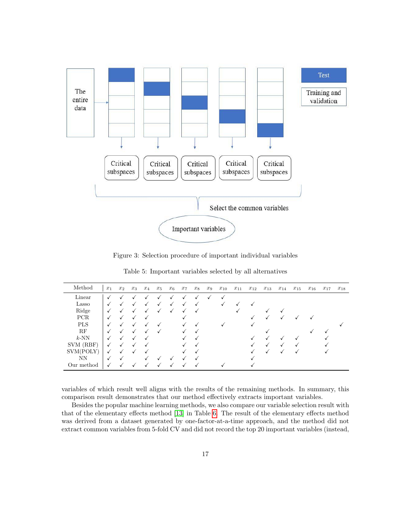<span id="page-16-0"></span>

Figure 3: Selection procedure of important individual variables

<span id="page-16-1"></span>

| Method     | $x_1$        | $x_2$ | $x_3$ | $x_4$ | $x_5$ | $x_6$   | $x_7$ | $x_8$ | $x_9$ | $x_{10}$ | $x_{11}$ | $x_{12}$ | $x_{13}$ | $x_{14}$ | $x_{15}$ | $x_{16}$ | $x_{17}$ | $x_{18}$ |
|------------|--------------|-------|-------|-------|-------|---------|-------|-------|-------|----------|----------|----------|----------|----------|----------|----------|----------|----------|
| Linear     |              |       |       |       |       |         |       |       |       |          |          |          |          |          |          |          |          |          |
| Lasso      | $\sqrt{ }$   |       |       |       |       | √       |       |       |       |          |          |          |          |          |          |          |          |          |
| Ridge      |              |       |       |       |       |         |       |       |       |          |          |          |          |          |          |          |          |          |
| <b>PCR</b> |              |       |       |       |       |         | v     |       |       |          |          |          |          |          |          |          |          |          |
| <b>PLS</b> |              |       |       |       |       |         |       |       |       |          |          |          |          |          |          |          |          |          |
| RF         |              |       |       |       |       |         |       |       |       |          |          |          |          |          |          |          |          |          |
| $k$ -NN    |              |       |       |       |       |         |       |       |       |          |          |          |          |          |          |          |          |          |
| SVM (RBF)  | ✓            |       |       |       |       |         |       |       |       |          |          |          |          |          |          |          |          |          |
| SVM(POLY)  | ✓            |       |       |       |       |         |       |       |       |          |          |          |          |          |          |          |          |          |
| NN         | $\checkmark$ |       |       |       |       |         |       |       |       |          |          |          |          |          |          |          |          |          |
| Our method | $\checkmark$ |       |       |       |       | $\cdot$ |       |       |       |          |          |          |          |          |          |          |          |          |

Table 5: Important variables selected by all alternatives

variables of which result well aligns with the results of the remaining methods. In summary, this comparison result demonstrates that our method effectively extracts important variables.

Besides the popular machine learning methods, we also compare our variable selection result with that of the elementary effects method [\[13\]](#page-19-14) in Table [6.](#page-17-0) The result of the elementary effects method was derived from a dataset generated by one-factor-at-a-time approach, and the method did not extract common variables from 5-fold CV and did not record the top 20 important variables (instead,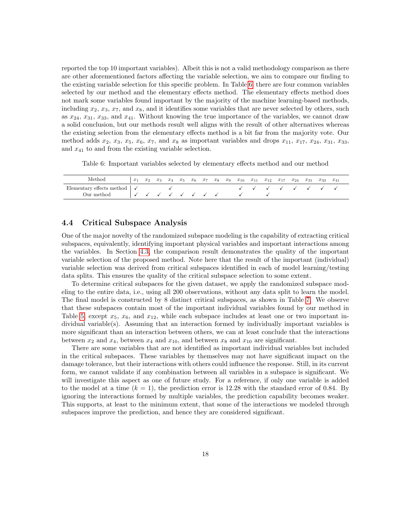reported the top 10 important variables). Albeit this is not a valid methodology comparison as there are other aforementioned factors affecting the variable selection, we aim to compare our finding to the existing variable selection for this specific problem. In Table [6,](#page-17-0) there are four common variables selected by our method and the elementary effects method. The elementary effects method does not mark some variables found important by the majority of the machine learning-based methods, including  $x_2, x_3, x_7$ , and  $x_8$ , and it identifies some variables that are never selected by others, such as  $x_{24}$ ,  $x_{31}$ ,  $x_{33}$ , and  $x_{41}$ . Without knowing the true importance of the variables, we cannot draw a solid conclusion, but our methods result well aligns with the result of other alternatives whereas the existing selection from the elementary effects method is a bit far from the majority vote. Our method adds  $x_2, x_3, x_5, x_6, x_7$ , and  $x_8$  as important variables and drops  $x_{11}, x_{17}, x_{24}, x_{31}, x_{33}$ , and  $x_{41}$  to and from the existing variable selection.

Table 6: Important variables selected by elementary effects method and our method

<span id="page-17-0"></span>

| Method                                       | $x_1$           |  |  |  |  |  |  | $x_1$ $x_2$ $x_3$ $x_4$ $x_5$ $x_6$ $x_7$ $x_8$ $x_9$ $x_{10}$ $x_{11}$ $x_{12}$ $x_{17}$ $x_{24}$ $x_{31}$ $x_{33}$ |  | $x_{41}$ |
|----------------------------------------------|-----------------|--|--|--|--|--|--|----------------------------------------------------------------------------------------------------------------------|--|----------|
| Elementary effects method $\vert \checkmark$ |                 |  |  |  |  |  |  |                                                                                                                      |  |          |
| Our method                                   | v v v v v v v v |  |  |  |  |  |  |                                                                                                                      |  |          |

### 4.4 Critical Subspace Analysis

One of the major novelty of the randomized subspace modeling is the capability of extracting critical subspaces, equivalently, identifying important physical variables and important interactions among the variables. In Section [4.3,](#page-14-1) the comparison result demonstrates the quality of the important variable selection of the proposed method. Note here that the result of the important (individual) variable selection was derived from critical subspaces identified in each of model learning/testing data splits. This ensures the quality of the critical subspace selection to some extent.

To determine critical subspaces for the given dataset, we apply the randomized subspace modeling to the entire data, i.e., using all 200 observations, without any data split to learn the model. The final model is constructed by 8 distinct critical subspaces, as shown in Table [7.](#page-18-1) We observe that these subspaces contain most of the important individual variables found by our method in Table [5,](#page-16-1) except  $x_5$ ,  $x_6$ , and  $x_{12}$ , while each subspace includes at least one or two important individual variable(s). Assuming that an interaction formed by individually important variables is more significant than an interaction between others, we can at least conclude that the interactions between  $x_2$  and  $x_4$ , between  $x_4$  and  $x_{10}$ , and between  $x_8$  and  $x_{10}$  are significant.

There are some variables that are not identified as important individual variables but included in the critical subspaces. These variables by themselves may not have significant impact on the damage tolerance, but their interactions with others could influence the response. Still, in its current form, we cannot validate if any combination between all variables in a subspace is significant. We will investigate this aspect as one of future study. For a reference, if only one variable is added to the model at a time  $(k = 1)$ , the prediction error is 12.28 with the standard error of 0.84. By ignoring the interactions formed by multiple variables, the prediction capability becomes weaker. This supports, at least to the minimum extent, that some of the interactions we modeled through subspaces improve the prediction, and hence they are considered significant.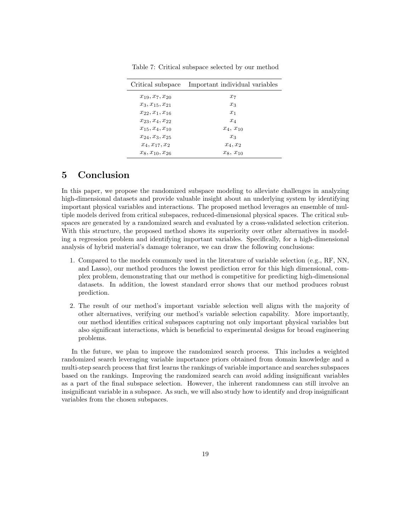<span id="page-18-1"></span>

|                         | Critical subspace Important individual variables |
|-------------------------|--------------------------------------------------|
| $x_{19}, x_{7}, x_{20}$ | $x_7$                                            |
| $x_3, x_{15}, x_{21}$   | $x_3$                                            |
| $x_{22}, x_1, x_{16}$   | $x_1$                                            |
| $x_{23}, x_4, x_{22}$   | $x_4$                                            |
| $x_{15}, x_4, x_{10}$   | $x_4, x_{10}$                                    |
| $x_{24}, x_3, x_{25}$   | $x_3$                                            |
| $x_4, x_{17}, x_2$      | $x_4, x_2$                                       |
| $x_8, x_{10}, x_{26}$   | $x_8, x_{10}$                                    |

Table 7: Critical subspace selected by our method

# <span id="page-18-0"></span>5 Conclusion

In this paper, we propose the randomized subspace modeling to alleviate challenges in analyzing high-dimensional datasets and provide valuable insight about an underlying system by identifying important physical variables and interactions. The proposed method leverages an ensemble of multiple models derived from critical subspaces, reduced-dimensional physical spaces. The critical subspaces are generated by a randomized search and evaluated by a cross-validated selection criterion. With this structure, the proposed method shows its superiority over other alternatives in modeling a regression problem and identifying important variables. Specifically, for a high-dimensional analysis of hybrid material's damage tolerance, we can draw the following conclusions:

- 1. Compared to the models commonly used in the literature of variable selection (e.g., RF, NN, and Lasso), our method produces the lowest prediction error for this high dimensional, complex problem, demonstrating that our method is competitive for predicting high-dimensional datasets. In addition, the lowest standard error shows that our method produces robust prediction.
- 2. The result of our method's important variable selection well aligns with the majority of other alternatives, verifying our method's variable selection capability. More importantly, our method identifies critical subspaces capturing not only important physical variables but also significant interactions, which is beneficial to experimental designs for broad engineering problems.

In the future, we plan to improve the randomized search process. This includes a weighted randomized search leveraging variable importance priors obtained from domain knowledge and a multi-step search process that first learns the rankings of variable importance and searches subspaces based on the rankings. Improving the randomized search can avoid adding insignificant variables as a part of the final subspace selection. However, the inherent randomness can still involve an insignificant variable in a subspace. As such, we will also study how to identify and drop insignificant variables from the chosen subspaces.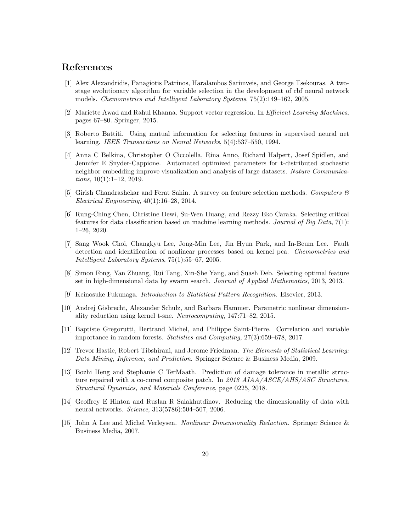# References

- <span id="page-19-10"></span>[1] Alex Alexandridis, Panagiotis Patrinos, Haralambos Sarimveis, and George Tsekouras. A twostage evolutionary algorithm for variable selection in the development of rbf neural network models. Chemometrics and Intelligent Laboratory Systems, 75(2):149–162, 2005.
- <span id="page-19-13"></span>[2] Mariette Awad and Rahul Khanna. Support vector regression. In Efficient Learning Machines, pages 67–80. Springer, 2015.
- <span id="page-19-9"></span>[3] Roberto Battiti. Using mutual information for selecting features in supervised neural net learning. IEEE Transactions on Neural Networks, 5(4):537–550, 1994.
- <span id="page-19-6"></span>[4] Anna C Belkina, Christopher O Ciccolella, Rina Anno, Richard Halpert, Josef Spidlen, and Jennifer E Snyder-Cappione. Automated optimized parameters for t-distributed stochastic neighbor embedding improve visualization and analysis of large datasets. Nature Communications,  $10(1):1-12$ ,  $2019$ .
- <span id="page-19-8"></span>[5] Girish Chandrashekar and Ferat Sahin. A survey on feature selection methods. Computers  $\mathcal{C}$ Electrical Engineering, 40(1):16–28, 2014.
- <span id="page-19-11"></span>[6] Rung-Ching Chen, Christine Dewi, Su-Wen Huang, and Rezzy Eko Caraka. Selecting critical features for data classification based on machine learning methods. Journal of Big Data, 7(1): 1–26, 2020.
- <span id="page-19-4"></span>[7] Sang Wook Choi, Changkyu Lee, Jong-Min Lee, Jin Hyun Park, and In-Beum Lee. Fault detection and identification of nonlinear processes based on kernel pca. Chemometrics and Intelligent Laboratory Systems, 75(1):55–67, 2005.
- <span id="page-19-0"></span>[8] Simon Fong, Yan Zhuang, Rui Tang, Xin-She Yang, and Suash Deb. Selecting optimal feature set in high-dimensional data by swarm search. Journal of Applied Mathematics, 2013, 2013.
- <span id="page-19-1"></span>[9] Keinosuke Fukunaga. Introduction to Statistical Pattern Recognition. Elsevier, 2013.
- <span id="page-19-7"></span>[10] Andrej Gisbrecht, Alexander Schulz, and Barbara Hammer. Parametric nonlinear dimensionality reduction using kernel t-sne. Neurocomputing, 147:71–82, 2015.
- <span id="page-19-12"></span>[11] Baptiste Gregorutti, Bertrand Michel, and Philippe Saint-Pierre. Correlation and variable importance in random forests. Statistics and Computing, 27(3):659–678, 2017.
- <span id="page-19-2"></span>[12] Trevor Hastie, Robert Tibshirani, and Jerome Friedman. The Elements of Statistical Learning: Data Mining, Inference, and Prediction. Springer Science & Business Media, 2009.
- <span id="page-19-14"></span>[13] Bozhi Heng and Stephanie C TerMaath. Prediction of damage tolerance in metallic structure repaired with a co-cured composite patch. In 2018 AIAA/ASCE/AHS/ASC Structures, Structural Dynamics, and Materials Conference, page 0225, 2018.
- <span id="page-19-5"></span>[14] Geoffrey E Hinton and Ruslan R Salakhutdinov. Reducing the dimensionality of data with neural networks. Science, 313(5786):504–507, 2006.
- <span id="page-19-3"></span>[15] John A Lee and Michel Verleysen. Nonlinear Dimensionality Reduction. Springer Science & Business Media, 2007.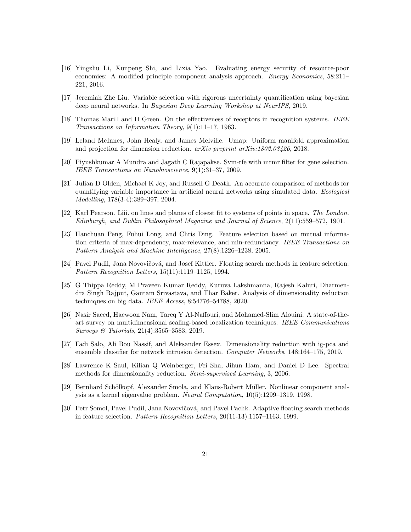- <span id="page-20-3"></span>[16] Yingzhu Li, Xunpeng Shi, and Lixia Yao. Evaluating energy security of resource-poor economies: A modified principle component analysis approach. Energy Economics, 58:211– 221, 2016.
- <span id="page-20-1"></span>[17] Jeremiah Zhe Liu. Variable selection with rigorous uncertainty quantification using bayesian deep neural networks. In Bayesian Deep Learning Workshop at NeurIPS, 2019.
- <span id="page-20-9"></span>[18] Thomas Marill and D Green. On the effectiveness of receptors in recognition systems. IEEE Transactions on Information Theory, 9(1):11–17, 1963.
- <span id="page-20-8"></span>[19] Leland McInnes, John Healy, and James Melville. Umap: Uniform manifold approximation and projection for dimension reduction.  $arXiv$  preprint  $arXiv:1802.03426$ , 2018.
- <span id="page-20-13"></span>[20] Piyushkumar A Mundra and Jagath C Rajapakse. Svm-rfe with mrmr filter for gene selection. IEEE Transactions on Nanobioscience, 9(1):31–37, 2009.
- <span id="page-20-14"></span>[21] Julian D Olden, Michael K Joy, and Russell G Death. An accurate comparison of methods for quantifying variable importance in artificial neural networks using simulated data. Ecological Modelling, 178(3-4):389–397, 2004.
- <span id="page-20-2"></span>[22] Karl Pearson. Liii. on lines and planes of closest fit to systems of points in space. The London, Edinburgh, and Dublin Philosophical Magazine and Journal of Science, 2(11):559–572, 1901.
- <span id="page-20-12"></span>[23] Hanchuan Peng, Fuhui Long, and Chris Ding. Feature selection based on mutual information criteria of max-dependency, max-relevance, and min-redundancy. IEEE Transactions on Pattern Analysis and Machine Intelligence, 27(8):1226–1238, 2005.
- <span id="page-20-10"></span>[24] Pavel Pudil, Jana Novovičová, and Josef Kittler. Floating search methods in feature selection. Pattern Recognition Letters, 15(11):1119–1125, 1994.
- <span id="page-20-0"></span>[25] G Thippa Reddy, M Praveen Kumar Reddy, Kuruva Lakshmanna, Rajesh Kaluri, Dharmendra Singh Rajput, Gautam Srivastava, and Thar Baker. Analysis of dimensionality reduction techniques on big data. IEEE Access, 8:54776–54788, 2020.
- <span id="page-20-5"></span>[26] Nasir Saeed, Haewoon Nam, Tareq Y Al-Naffouri, and Mohamed-Slim Alouini. A state-of-theart survey on multidimensional scaling-based localization techniques. IEEE Communications Surveys & Tutorials, 21(4):3565–3583, 2019.
- <span id="page-20-4"></span>[27] Fadi Salo, Ali Bou Nassif, and Aleksander Essex. Dimensionality reduction with ig-pca and ensemble classifier for network intrusion detection. Computer Networks, 148:164–175, 2019.
- <span id="page-20-6"></span>[28] Lawrence K Saul, Kilian Q Weinberger, Fei Sha, Jihun Ham, and Daniel D Lee. Spectral methods for dimensionality reduction. Semi-supervised Learning, 3, 2006.
- <span id="page-20-7"></span>[29] Bernhard Schölkopf, Alexander Smola, and Klaus-Robert Müller. Nonlinear component analysis as a kernel eigenvalue problem. Neural Computation, 10(5):1299–1319, 1998.
- <span id="page-20-11"></span>[30] Petr Somol, Pavel Pudil, Jana Novovičová, and Pavel Paclık. Adaptive floating search methods in feature selection. Pattern Recognition Letters, 20(11-13):1157–1163, 1999.